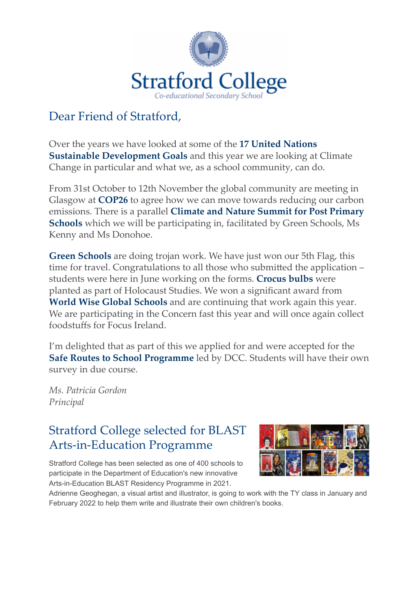

### Dear Friend of Stratford,

[Over the years we have looked at some of the](https://newsletters.stratfordcollege.ie/t/y-i-outyuhl-l-q/) **17 United Nations Sustainable Development Goals** and this year we are looking at Climate Change in particular and what we, as a school community, can do.

From 31st October to 12th November the global community are meeting in Glasgow at **[COP26](https://newsletters.stratfordcollege.ie/t/y-i-outyuhl-l-a/)** to agree how we can move towards reducing our carbon emissions. There is a parallel **Climate and Nature Summit for Post Primary Schools** [which we will be participating in, facilitated by Green Schools, Ms](https://newsletters.stratfordcollege.ie/t/y-i-outyuhl-l-f/) Kenny and Ms Donohoe.

**[Green Schools](https://newsletters.stratfordcollege.ie/t/y-i-outyuhl-l-z/)** are doing trojan work. We have just won our 5th Flag, this time for travel. Congratulations to all those who submitted the application – students were here in June working on the forms. **[Crocus bulbs](https://newsletters.stratfordcollege.ie/t/y-i-outyuhl-l-v/)** were planted as part of Holocaust Studies. We won a significant award from **[World Wise Global Schools](https://newsletters.stratfordcollege.ie/t/y-i-outyuhl-l-e/)** and are continuing that work again this year. We are participating in the Concern fast this year and will once again collect foodstuffs for Focus Ireland.

I'm delighted that as part of this we applied for and were accepted for the **[Safe Routes to School Programme](https://newsletters.stratfordcollege.ie/t/y-i-outyuhl-l-s/)** led by DCC. Students will have their own survey in due course.

*Ms. Patricia Gordon Principal*

### [Stratford College selected for BLAST](https://newsletters.stratfordcollege.ie/t/y-i-outyuhl-l-w/) Arts-in-Education Programme

Stratford College has been selected as one of 400 schools to participate in the Department of Education's new innovative Arts-in-Education BLAST Residency Programme in 2021.



Adrienne Geoghegan, a visual artist and illustrator, is going to work with the TY class in January and February 2022 to help them write and illustrate their own children's books.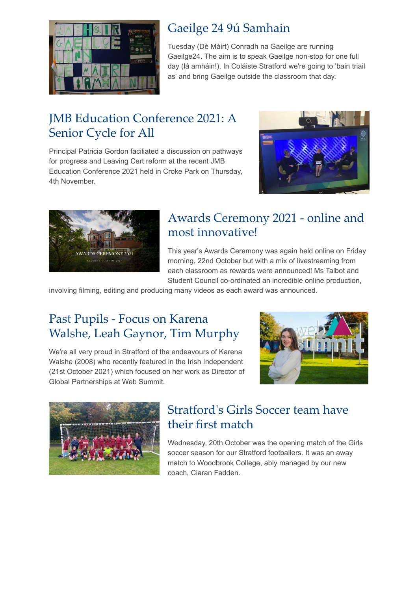

### [Gaeilge 24 9ú Samhain](https://newsletters.stratfordcollege.ie/t/y-i-outyuhl-l-yk/)

Tuesday (Dé Máirt) Conradh na Gaeilge are running Gaeilge24. The aim is to speak Gaeilge non-stop for one full day (lá amháin!). In Coláiste Stratford we're going to 'bain triail as' and bring Gaeilge outside the classroom that day.

### [JMB Education Conference 2021: A](https://newsletters.stratfordcollege.ie/t/y-i-outyuhl-l-jr/) Senior Cycle for All

Principal Patricia Gordon faciliated a discussion on pathways for progress and Leaving Cert reform at the recent JMB Education Conference 2021 held in Croke Park on Thursday, 4th November.





#### [Awards Ceremony 2021 - online and](https://newsletters.stratfordcollege.ie/t/y-i-outyuhl-l-jt/) most innovative!

This year's Awards Ceremony was again held online on Friday morning, 22nd October but with a mix of livestreaming from each classroom as rewards were announced! Ms Talbot and Student Council co-ordinated an incredible online production,

involving filming, editing and producing many videos as each award was announced.

# Past Pupils - Focus on Karena [Walshe, Leah Gaynor, Tim Murphy](https://newsletters.stratfordcollege.ie/t/y-i-outyuhl-l-jh/)

We're all very proud in Stratford of the endeavours of Karena Walshe (2008) who recently featured in the Irish Independent (21st October 2021) which focused on her work as Director of Global Partnerships at Web Summit.





#### [Stratford's Girls Soccer team have](https://newsletters.stratfordcollege.ie/t/y-i-outyuhl-l-tl/) their first match

Wednesday, 20th October was the opening match of the Girls soccer season for our Stratford footballers. It was an away match to Woodbrook College, ably managed by our new coach, Ciaran Fadden.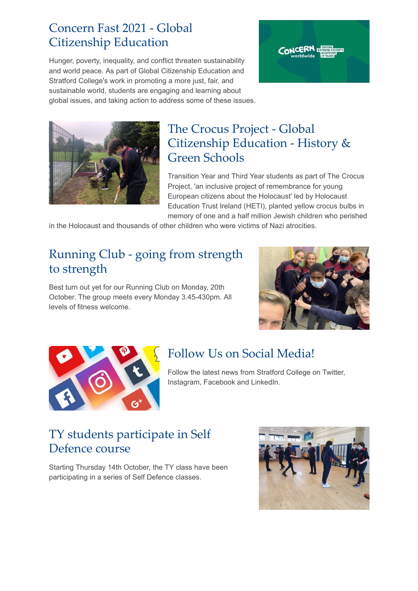#### [Concern Fast 2021 - Global](https://newsletters.stratfordcollege.ie/t/y-i-outyuhl-l-tj/) Citizenship Education

Hunger, poverty, inequality, and conflict threaten sustainability and world peace. As part of Global Citizenship Education and Stratford College's work in promoting a more just, fair, and sustainable world, students are engaging and learning about global issues, and taking action to address some of these issues.





# The Crocus Project - Global [Citizenship Education - History &](https://newsletters.stratfordcollege.ie/t/y-i-outyuhl-l-td/) Green Schools

Transition Year and Third Year students as part of The Crocus Project, 'an inclusive project of remembrance for young European citizens about the Holocaust' led by Holocaust Education Trust Ireland (HETI), planted yellow crocus bulbs in memory of one and a half million Jewish children who perished

in the Holocaust and thousands of other children who were victims of Nazi atrocities.

# [Running Club - going from strength](https://newsletters.stratfordcollege.ie/t/y-i-outyuhl-l-tu/) to strength

Best turn out yet for our Running Club on Monday, 20th October. The group meets every Monday 3.45-430pm. All levels of fitness welcome.





# [Follow Us on Social Media!](https://newsletters.stratfordcollege.ie/t/y-i-outyuhl-l-iy/)

Follow the latest news from Stratford College on Twitter, Instagram, Facebook and LinkedIn.

### [TY students participate in Self](https://newsletters.stratfordcollege.ie/t/y-i-outyuhl-l-ii/) Defence course

Starting Thursday 14th October, the TY class have been participating in a series of Self Defence classes.